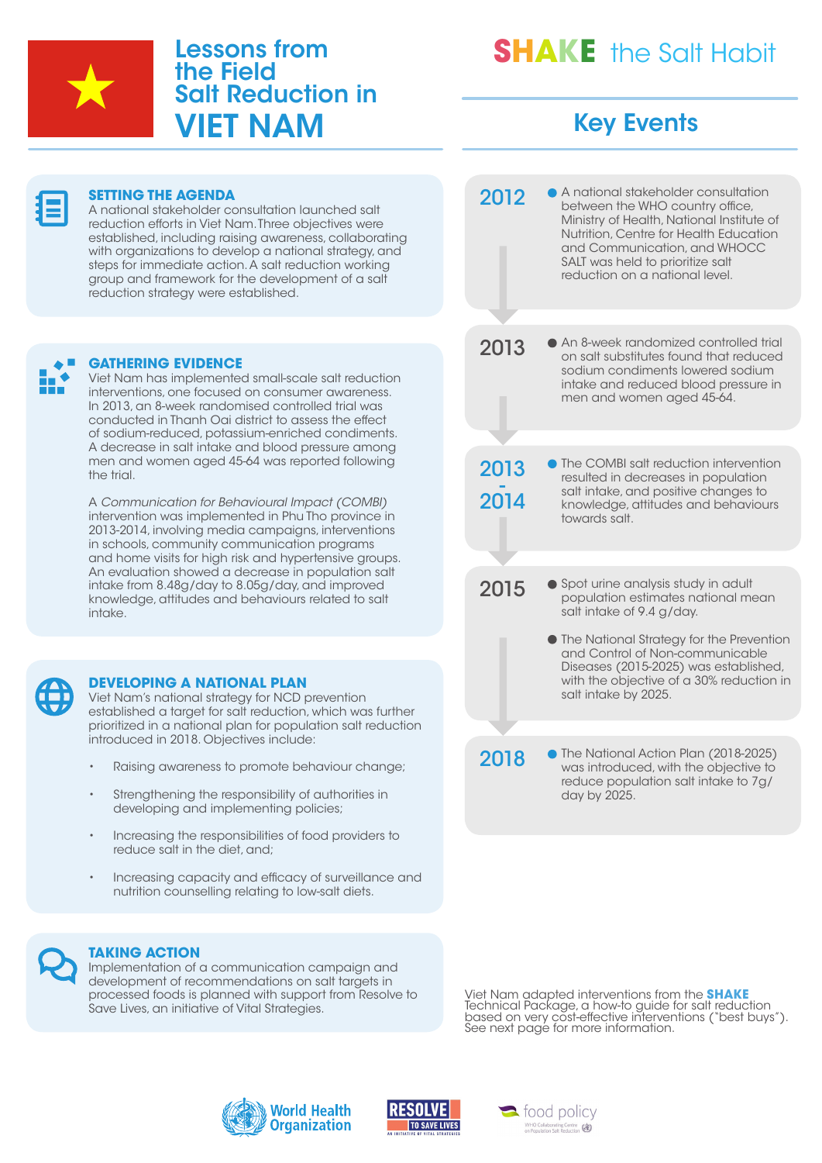

## Lessons from the Field Salt Reduction in VIET NAM

# **SHAKE** the Salt Habit

## Key Events

| <b>SETTING THE AGENDA</b><br>A national stakeholder consultation launched salt<br>reduction efforts in Viet Nam. Three objectives were<br>established, including raising awareness, collaborating<br>with organizations to develop a national strategy, and<br>steps for immediate action. A salt reduction working<br>group and framework for the development of a salt<br>reduction strategy were established.                                                                                                                                                                                                                                | 2012 | • A national stakeholder consultation<br>between the WHO country office,<br>Ministry of Health, National Institute of<br>Nutrition, Centre for Health Education<br>and Communication, and WHOCC<br>SALT was held to prioritize salt<br>reduction on a national level. |
|-------------------------------------------------------------------------------------------------------------------------------------------------------------------------------------------------------------------------------------------------------------------------------------------------------------------------------------------------------------------------------------------------------------------------------------------------------------------------------------------------------------------------------------------------------------------------------------------------------------------------------------------------|------|-----------------------------------------------------------------------------------------------------------------------------------------------------------------------------------------------------------------------------------------------------------------------|
|                                                                                                                                                                                                                                                                                                                                                                                                                                                                                                                                                                                                                                                 |      |                                                                                                                                                                                                                                                                       |
| <b>GATHERING EVIDENCE</b><br>Viet Nam has implemented small-scale salt reduction<br>interventions, one focused on consumer awareness.<br>In 2013, an 8-week randomised controlled trial was<br>conducted in Thanh Oai district to assess the effect<br>of sodium-reduced, potassium-enriched condiments.<br>A decrease in salt intake and blood pressure among<br>men and women aged 45-64 was reported following<br>the trial.<br>A Communication for Behavioural Impact (COMBI)<br>intervention was implemented in Phu Tho province in<br>2013-2014, involving media campaigns, interventions<br>in schools, community communication programs | 2013 | • An 8-week randomized controlled trial<br>on salt substitutes found that reduced<br>sodium condiments lowered sodium<br>intake and reduced blood pressure in<br>men and women aged 45-64.                                                                            |
|                                                                                                                                                                                                                                                                                                                                                                                                                                                                                                                                                                                                                                                 |      |                                                                                                                                                                                                                                                                       |
|                                                                                                                                                                                                                                                                                                                                                                                                                                                                                                                                                                                                                                                 | 2013 | • The COMBI salt reduction intervention<br>resulted in decreases in population                                                                                                                                                                                        |
|                                                                                                                                                                                                                                                                                                                                                                                                                                                                                                                                                                                                                                                 | 2014 | salt intake, and positive changes to<br>knowledge, attitudes and behaviours<br>towards salt.                                                                                                                                                                          |
| and home visits for high risk and hypertensive groups.                                                                                                                                                                                                                                                                                                                                                                                                                                                                                                                                                                                          |      |                                                                                                                                                                                                                                                                       |
| An evaluation showed a decrease in population salt<br>intake from 8.48g/day to 8.05g/day, and improved<br>knowledge, attitudes and behaviours related to salt<br>intake.                                                                                                                                                                                                                                                                                                                                                                                                                                                                        | 2015 | • Spot urine analysis study in adult<br>population estimates national mean<br>salt intake of 9.4 g/day.                                                                                                                                                               |
|                                                                                                                                                                                                                                                                                                                                                                                                                                                                                                                                                                                                                                                 |      | • The National Strategy for the Prevention<br>and Control of Non-communicable                                                                                                                                                                                         |
| <b>DEVELOPING A NATIONAL PLAN</b><br>Viet Nam's national strategy for NCD prevention<br>established a target for salt reduction, which was further<br>prioritized in a national plan for population salt reduction                                                                                                                                                                                                                                                                                                                                                                                                                              |      | Diseases (2015-2025) was established,<br>with the objective of a 30% reduction in<br>salt intake by 2025.                                                                                                                                                             |
| introduced in 2018. Objectives include:                                                                                                                                                                                                                                                                                                                                                                                                                                                                                                                                                                                                         | 2018 | • The National Action Plan (2018-2025)                                                                                                                                                                                                                                |
| Raising awareness to promote behaviour change;<br>$\bullet$                                                                                                                                                                                                                                                                                                                                                                                                                                                                                                                                                                                     |      | was introduced, with the objective to<br>reduce population salt intake to 7g/<br>day by 2025.                                                                                                                                                                         |
| Strengthening the responsibility of authorities in<br>developing and implementing policies;                                                                                                                                                                                                                                                                                                                                                                                                                                                                                                                                                     |      |                                                                                                                                                                                                                                                                       |
| Increasing the responsibilities of food providers to<br>$\bullet$<br>reduce salt in the diet, and;                                                                                                                                                                                                                                                                                                                                                                                                                                                                                                                                              |      |                                                                                                                                                                                                                                                                       |
| Increasing capacity and efficacy of surveillance and<br>nutrition counselling relating to low-salt diets.                                                                                                                                                                                                                                                                                                                                                                                                                                                                                                                                       |      |                                                                                                                                                                                                                                                                       |



## **GATHERING EVIDEN**



### **DEVELOPING A NAT**

- Raising awareness
- Strengthening the developing and im
- Increasing the responsible reduce salt in the c
- Increasing capacit nutrition counsellin

### **TAKING ACTION**

Implementation of a communication campaign and development of recommendations on salt targets in processed foods is planned with support from Resolve to Save Lives, an initiative of Vital Strategies.

Viet Nam adapted interventions from the **SHAKE** Technical Package, a how-to guide for salt reduction based on very cost-effective interventions ("best buys"). See next page for more information.